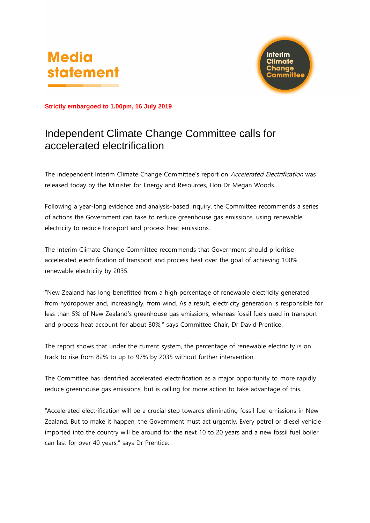# **Media** statement



**Strictly embargoed to 1.00pm, 16 July 2019**

## Independent Climate Change Committee calls for accelerated electrification

The independent Interim Climate Change Committee's report on Accelerated Electrification was released today by the Minister for Energy and Resources, Hon Dr Megan Woods.

Following a year-long evidence and analysis-based inquiry, the Committee recommends a series of actions the Government can take to reduce greenhouse gas emissions, using renewable electricity to reduce transport and process heat emissions.

The Interim Climate Change Committee recommends that Government should prioritise accelerated electrification of transport and process heat over the goal of achieving 100% renewable electricity by 2035.

"New Zealand has long benefitted from a high percentage of renewable electricity generated from hydropower and, increasingly, from wind. As a result, electricity generation is responsible for less than 5% of New Zealand's greenhouse gas emissions, whereas fossil fuels used in transport and process heat account for about 30%," says Committee Chair, Dr David Prentice.

The report shows that under the current system, the percentage of renewable electricity is on track to rise from 82% to up to 97% by 2035 without further intervention.

The Committee has identified accelerated electrification as a major opportunity to more rapidly reduce greenhouse gas emissions, but is calling for more action to take advantage of this.

"Accelerated electrification will be a crucial step towards eliminating fossil fuel emissions in New Zealand. But to make it happen, the Government must act urgently. Every petrol or diesel vehicle imported into the country will be around for the next 10 to 20 years and a new fossil fuel boiler can last for over 40 years," says Dr Prentice.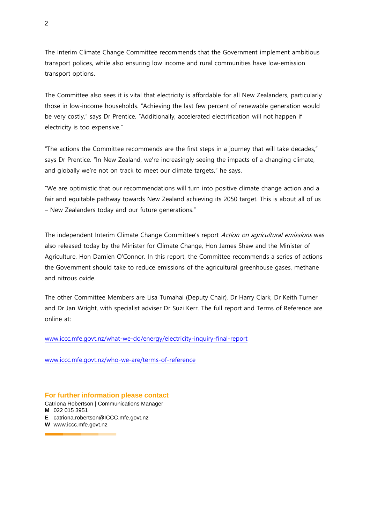The Interim Climate Change Committee recommends that the Government implement ambitious transport polices, while also ensuring low income and rural communities have low-emission transport options.

The Committee also sees it is vital that electricity is affordable for all New Zealanders, particularly those in low-income households. "Achieving the last few percent of renewable generation would be very costly," says Dr Prentice. "Additionally, accelerated electrification will not happen if electricity is too expensive."

"The actions the Committee recommends are the first steps in a journey that will take decades," says Dr Prentice. "In New Zealand, we're increasingly seeing the impacts of a changing climate, and globally we're not on track to meet our climate targets," he says.

"We are optimistic that our recommendations will turn into positive climate change action and a fair and equitable pathway towards New Zealand achieving its 2050 target. This is about all of us – New Zealanders today and our future generations."

The independent Interim Climate Change Committee's report Action on agricultural emissions was also released today by the Minister for Climate Change, Hon James Shaw and the Minister of Agriculture, Hon Damien O'Connor. In this report, the Committee recommends a series of actions the Government should take to reduce emissions of the agricultural greenhouse gases, methane and nitrous oxide.

The other Committee Members are Lisa Tumahai (Deputy Chair), Dr Harry Clark, Dr Keith Turner and Dr Jan Wright, with specialist adviser Dr Suzi Kerr. The full report and Terms of Reference are online at:

[www.iccc.mfe.govt.nz/what-we-do/energy/electricity-inquiry-final-report](http://www.iccc.mfe.govt.nz/what-we-do/energy/electricity-inquiry-final-report)

[www.iccc.mfe.govt.nz/who-we-are/terms-of-reference](http://www.iccc.mfe.govt.nz/who-we-are/terms-of-reference)

### **For further information please contact**

Catriona Robertson | Communications Manager **M** 022 015 3951 **E** catriona.robertson@ICCC.mfe.govt.nz

**W** www.iccc.mfe.govt.nz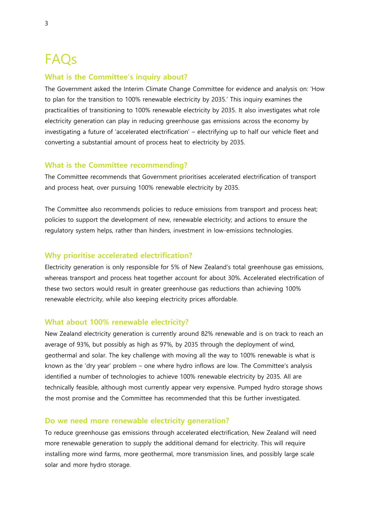## FAQs

### **What is the Committee's inquiry about?**

The Government asked the Interim Climate Change Committee for evidence and analysis on: 'How to plan for the transition to 100% renewable electricity by 2035.' This inquiry examines the practicalities of transitioning to 100% renewable electricity by 2035. It also investigates what role electricity generation can play in reducing greenhouse gas emissions across the economy by investigating a future of 'accelerated electrification' – electrifying up to half our vehicle fleet and converting a substantial amount of process heat to electricity by 2035.

### **What is the Committee recommending?**

The Committee recommends that Government prioritises accelerated electrification of transport and process heat, over pursuing 100% renewable electricity by 2035.

The Committee also recommends policies to reduce emissions from transport and process heat; policies to support the development of new, renewable electricity; and actions to ensure the regulatory system helps, rather than hinders, investment in low-emissions technologies.

### **Why prioritise accelerated electrification?**

Electricity generation is only responsible for 5% of New Zealand's total greenhouse gas emissions, whereas transport and process heat together account for about 30%. Accelerated electrification of these two sectors would result in greater greenhouse gas reductions than achieving 100% renewable electricity, while also keeping electricity prices affordable.

### **What about 100% renewable electricity?**

New Zealand electricity generation is currently around 82% renewable and is on track to reach an average of 93%, but possibly as high as 97%, by 2035 through the deployment of wind, geothermal and solar. The key challenge with moving all the way to 100% renewable is what is known as the 'dry year' problem – one where hydro inflows are low. The Committee's analysis identified a number of technologies to achieve 100% renewable electricity by 2035. All are technically feasible, although most currently appear very expensive. Pumped hydro storage shows the most promise and the Committee has recommended that this be further investigated.

### **Do we need more renewable electricity generation?**

To reduce greenhouse gas emissions through accelerated electrification, New Zealand will need more renewable generation to supply the additional demand for electricity. This will require installing more wind farms, more geothermal, more transmission lines, and possibly large scale solar and more hydro storage.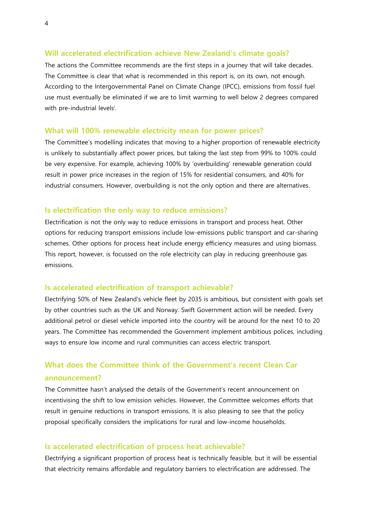### **Will accelerated electrification achieve New Zealand's climate goals?**

The actions the Committee recommends are the first steps in a journey that will take decades. The Committee is clear that what is recommended in this report is, on its own, not enough. According to the Intergovernmental Panel on Climate Change (IPCC), emissions from fossil fuel use must eventually be eliminated if we are to limit warming to well below 2 degrees compared with pre-industrial levels<sup>i</sup>.

#### **What will 100% renewable electricity mean for power prices?**

The Committee's modelling indicates that moving to a higher proportion of renewable electricity is unlikely to substantially affect power prices, but taking the last step from 99% to 100% could be very expensive. For example, achieving 100% by 'overbuilding' renewable generation could result in power price increases in the region of 15% for residential consumers, and 40% for industrial consumers. However, overbuilding is not the only option and there are alternatives.

### **Is electrification the only way to reduce emissions?**

Electrification is not the only way to reduce emissions in transport and process heat. Other options for reducing transport emissions include low-emissions public transport and car-sharing schemes. Other options for process heat include energy efficiency measures and using biomass. This report, however, is focussed on the role electricity can play in reducing greenhouse gas emissions.

#### **Is accelerated electrification of transport achievable?**

Electrifying 50% of New Zealand's vehicle fleet by 2035 is ambitious, but consistent with goals set by other countries such as the UK and Norway. Swift Government action will be needed. Every additional petrol or diesel vehicle imported into the country will be around for the next 10 to 20 years. The Committee has recommended the Government implement ambitious polices, including ways to ensure low income and rural communities can access electric transport.

### **What does the Committee think of the Government's recent Clean Car announcement?**

### The Committee hasn't analysed the details of the Government's recent announcement on incentivising the shift to low emission vehicles. However, the Committee welcomes efforts that result in genuine reductions in transport emissions. It is also pleasing to see that the policy proposal specifically considers the implications for rural and low-income households.

### **Is accelerated electrification of process heat achievable?**

Electrifying a significant proportion of process heat is technically feasible, but it will be essential that electricity remains affordable and regulatory barriers to electrification are addressed. The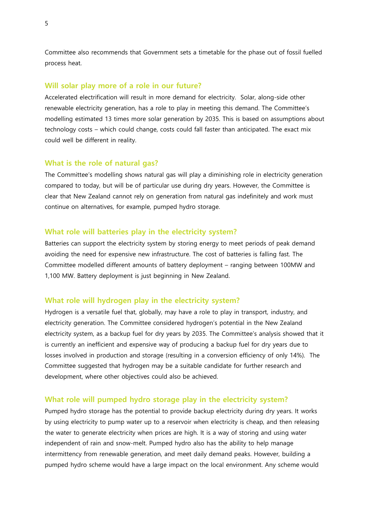Committee also recommends that Government sets a timetable for the phase out of fossil fuelled process heat.

### **Will solar play more of a role in our future?**

Accelerated electrification will result in more demand for electricity. Solar, along-side other renewable electricity generation, has a role to play in meeting this demand. The Committee's modelling estimated 13 times more solar generation by 2035. This is based on assumptions about technology costs – which could change, costs could fall faster than anticipated. The exact mix could well be different in reality.

### **What is the role of natural gas?**

The Committee's modelling shows natural gas will play a diminishing role in electricity generation compared to today, but will be of particular use during dry years. However, the Committee is clear that New Zealand cannot rely on generation from natural gas indefinitely and work must continue on alternatives, for example, pumped hydro storage.

### **What role will batteries play in the electricity system?**

Batteries can support the electricity system by storing energy to meet periods of peak demand avoiding the need for expensive new infrastructure. The cost of batteries is falling fast. The Committee modelled different amounts of battery deployment – ranging between 100MW and 1,100 MW. Battery deployment is just beginning in New Zealand.

### **What role will hydrogen play in the electricity system?**

Hydrogen is a versatile fuel that, globally, may have a role to play in transport, industry, and electricity generation. The Committee considered hydrogen's potential in the New Zealand electricity system, as a backup fuel for dry years by 2035. The Committee's analysis showed that it is currently an inefficient and expensive way of producing a backup fuel for dry years due to losses involved in production and storage (resulting in a conversion efficiency of only 14%). The Committee suggested that hydrogen may be a suitable candidate for further research and development, where other objectives could also be achieved.

### **What role will pumped hydro storage play in the electricity system?**

Pumped hydro storage has the potential to provide backup electricity during dry years. It works by using electricity to pump water up to a reservoir when electricity is cheap, and then releasing the water to generate electricity when prices are high. It is a way of storing and using water independent of rain and snow-melt. Pumped hydro also has the ability to help manage intermittency from renewable generation, and meet daily demand peaks. However, building a pumped hydro scheme would have a large impact on the local environment. Any scheme would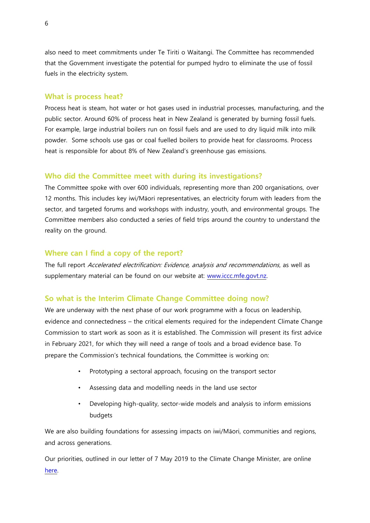also need to meet commitments under Te Tiriti o Waitangi. The Committee has recommended that the Government investigate the potential for pumped hydro to eliminate the use of fossil fuels in the electricity system.

### **What is process heat?**

Process heat is steam, hot water or hot gases used in industrial processes, manufacturing, and the public sector. Around 60% of process heat in New Zealand is generated by burning fossil fuels. For example, large industrial boilers run on fossil fuels and are used to dry liquid milk into milk powder. Some schools use gas or coal fuelled boilers to provide heat for classrooms. Process heat is responsible for about 8% of New Zealand's greenhouse gas emissions.

### **Who did the Committee meet with during its investigations?**

The Committee spoke with over 600 individuals, representing more than 200 organisations, over 12 months. This includes key iwi/Māori representatives, an electricity forum with leaders from the sector, and targeted forums and workshops with industry, youth, and environmental groups. The Committee members also conducted a series of field trips around the country to understand the reality on the ground.

### **Where can I find a copy of the report?**

The full report Accelerated electrification: Evidence, analysis and recommendations, as well as supplementary material can be found on our website at: www.iccc.mfe.govt.nz.

### **So what is the Interim Climate Change Committee doing now?**

We are underway with the next phase of our work programme with a focus on leadership, evidence and connectedness – the critical elements required for the independent Climate Change Commission to start work as soon as it is established. The Commission will present its first advice in February 2021, for which they will need a range of tools and a broad evidence base. To prepare the Commission's technical foundations, the Committee is working on:

- Prototyping a sectoral approach, focusing on the transport sector
- Assessing data and modelling needs in the land use sector
- Developing high-quality, sector-wide models and analysis to inform emissions budgets

We are also building foundations for assessing impacts on iwi/Māori, communities and regions, and across generations.

Our priorities, outlined in our letter of 7 May 2019 to the Climate Change Minister, are online [here.](https://www.iccc.mfe.govt.nz/our-news/updates-from-the-chair/iccc-work-programme-from-1-may-2019/)